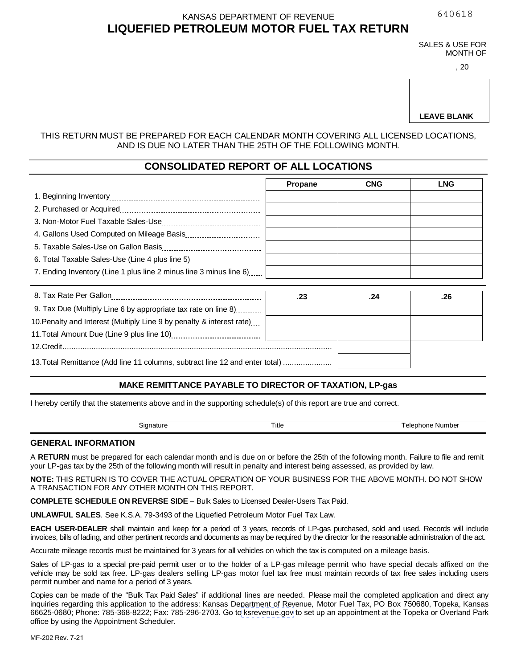640618

#### **LIQUEFIED PETROLEUM MOTOR FUEL TAX RETURN** KANSAS DEPARTMENT OF REVENUE

SALES & USE FOR MONTH OF

> 20 ,

**LEAVE BLANK**

#### THIS RETURN MUST BE PREPARED FOR EACH CALENDAR MONTH COVERING ALL LICENSED LOCATIONS, AND IS DUE NO LATER THAN THE 25TH OF THE FOLLOWING MONTH.

## **CONSOLIDATED REPORT OF ALL LOCATIONS**

|                                                                    | <b>Propane</b> | <b>CNG</b> | <b>LNG</b> |
|--------------------------------------------------------------------|----------------|------------|------------|
|                                                                    |                |            |            |
|                                                                    |                |            |            |
|                                                                    |                |            |            |
|                                                                    |                |            |            |
|                                                                    |                |            |            |
| 6. Total Taxable Sales-Use (Line 4 plus line 5)                    |                |            |            |
| 7. Ending Inventory (Line 1 plus line 2 minus line 3 minus line 6) |                |            |            |

|                                                                              | .23 | .26 |
|------------------------------------------------------------------------------|-----|-----|
| 9. Tax Due (Multiply Line 6 by appropriate tax rate on line 8)               |     |     |
| 10. Penalty and Interest (Multiply Line 9 by penalty & interest rate)        |     |     |
|                                                                              |     |     |
|                                                                              |     |     |
| 13. Total Remittance (Add line 11 columns, subtract line 12 and enter total) |     |     |

### **MAKE REMITTANCE PAYABLE TO DIRECTOR OF TAXATION, LP-gas**

I hereby certify that the statements above and in the supporting schedule(s) of this report are true and correct.

| Signature | ıtle | Number<br>elephone<br>. |
|-----------|------|-------------------------|

#### **GENERAL INFORMATION**

A **RETURN** must be prepared for each calendar month and is due on or before the 25th of the following month. Failure to file and remit your LP-gas tax by the 25th of the following month will result in penalty and interest being assessed, as provided by law.

**NOTE:** THIS RETURN IS TO COVER THE ACTUAL OPERATION OF YOUR BUSINESS FOR THE ABOVE MONTH. DO NOT SHOW A TRANSACTION FOR ANY OTHER MONTH ON THIS REPORT.

**COMPLETE SCHEDULE ON REVERSE SIDE** – Bulk Sales to Licensed Dealer-Users Tax Paid.

**UNLAWFUL SALES**. See K.S.A. 79-3493 of the Liquefied Petroleum Motor Fuel Tax Law.

**EACH USER-DEALER** shall maintain and keep for a period of 3 years, records of LP-gas purchased, sold and used. Records will include invoices, bills of lading, and other pertinent records and documents as may be required by the director for the reasonable administration of the act.

Accurate mileage records must be maintained for 3 years for all vehicles on which the tax is computed on a mileage basis.

Sales of LP-gas to a special pre-paid permit user or to the holder of a LP-gas mileage permit who have special decals affixed on the vehicle may be sold tax free. LP-gas dealers selling LP-gas motor fuel tax free must maintain records of tax free sales including users permit number and name for a period of 3 years.

Copies can be made of the "Bulk Tax Paid Sales" if additional lines are needed. Please mail the completed application and direct any inquiries regarding this application to the address: Kansas Department of Revenue, Motor Fuel Tax, PO Box 750680, Topeka, Kansas 66625-0680; Phone: 785-368-8222; Fax: 785-296-2703. Go t[o ksrevenue.](https://www.kdor.ks.gov/Apps/AppointmentScheduler/ApptSchedule/Times?locType=TAX)gov to set up an appointment at the Topeka or Overland Park office by using the Appointment Scheduler.